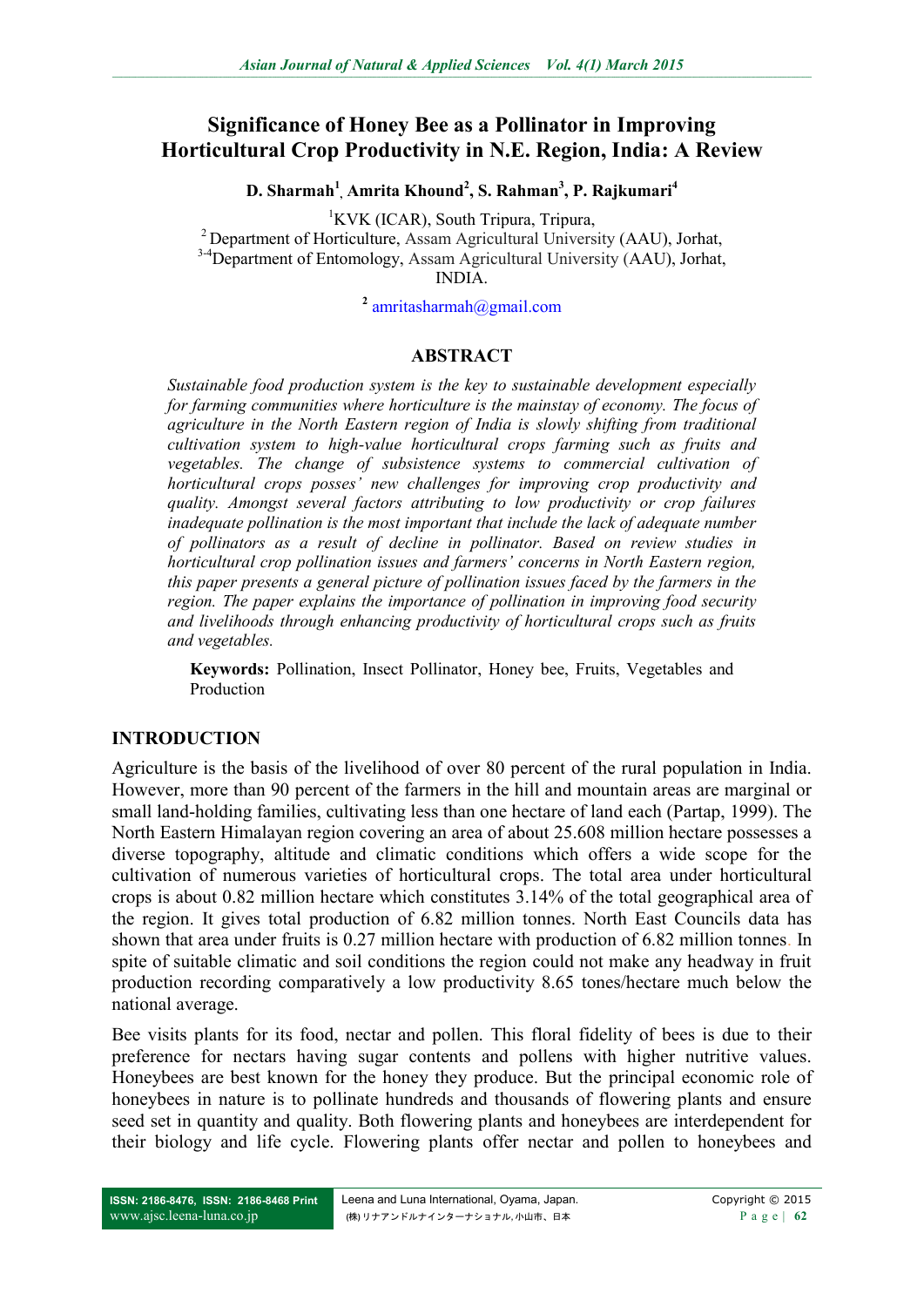# **Significance of Honey Bee as a Pollinator in Improving Horticultural Crop Productivity in N.E. Region, India: A Review**

**D. Sharmah<sup>1</sup> , Amrita Khound<sup>2</sup> , S. Rahman<sup>3</sup> , P. Rajkumari<sup>4</sup>**

<sup>1</sup>KVK (ICAR), South Tripura, Tripura,

<sup>2</sup>Department of Horticulture, Assam Agricultural University (AAU), Jorhat, <sup>3-4</sup>Department of Entomology, Assam Agricultural University (AAU), Jorhat, INDIA.

**2** [amritasharmah@gmail.com](mailto:amritasharmah@gmail.com)

#### **ABSTRACT**

*Sustainable food production system is the key to sustainable development especially for farming communities where horticulture is the mainstay of economy. The focus of agriculture in the North Eastern region of India is slowly shifting from traditional cultivation system to high-value horticultural crops farming such as fruits and vegetables. The change of subsistence systems to commercial cultivation of horticultural crops posses' new challenges for improving crop productivity and quality. Amongst several factors attributing to low productivity or crop failures inadequate pollination is the most important that include the lack of adequate number of pollinators as a result of decline in pollinator. Based on review studies in horticultural crop pollination issues and farmers' concerns in North Eastern region, this paper presents a general picture of pollination issues faced by the farmers in the region. The paper explains the importance of pollination in improving food security and livelihoods through enhancing productivity of horticultural crops such as fruits and vegetables.*

**Keywords:** Pollination, Insect Pollinator, Honey bee, Fruits, Vegetables and Production

#### **INTRODUCTION**

Agriculture is the basis of the livelihood of over 80 percent of the rural population in India. However, more than 90 percent of the farmers in the hill and mountain areas are marginal or small land-holding families, cultivating less than one hectare of land each (Partap, 1999). The North Eastern Himalayan region covering an area of about 25.608 million hectare possesses a diverse topography, altitude and climatic conditions which offers a wide scope for the cultivation of numerous varieties of horticultural crops. The total area under horticultural crops is about 0.82 million hectare which constitutes 3.14% of the total geographical area of the region. It gives total production of 6.82 million tonnes. North East Councils data has shown that area under fruits is 0.27 million hectare with production of 6.82 million tonnes. In spite of suitable climatic and soil conditions the region could not make any headway in fruit production recording comparatively a low productivity 8.65 tones/hectare much below the national average.

Bee visits plants for its food, nectar and pollen. This floral fidelity of bees is due to their preference for nectars having sugar contents and pollens with higher nutritive values. Honeybees are best known for the honey they produce. But the principal economic role of honeybees in nature is to pollinate hundreds and thousands of flowering plants and ensure seed set in quantity and quality. Both flowering plants and honeybees are interdependent for their biology and life cycle. Flowering plants offer nectar and pollen to honeybees and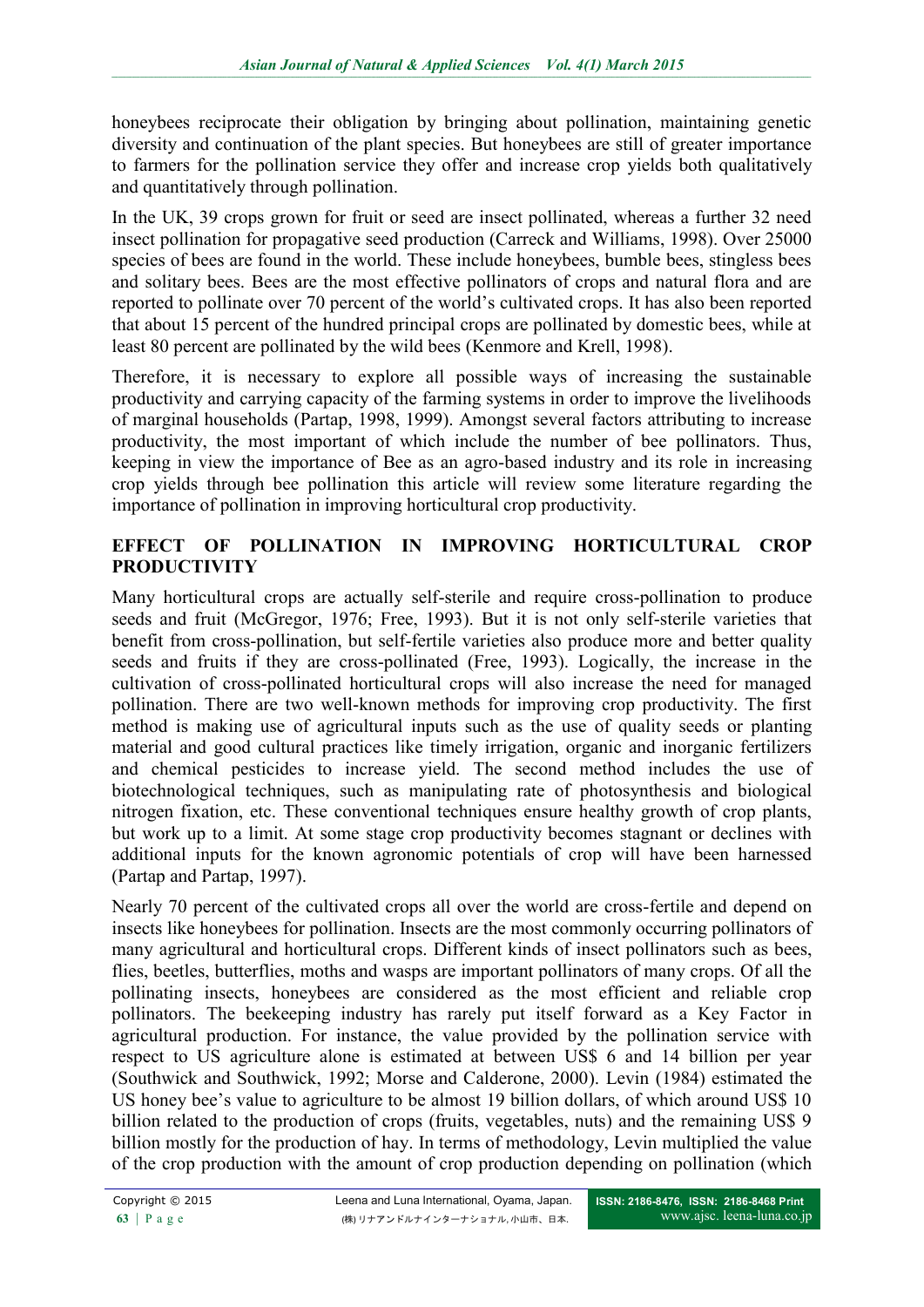honeybees reciprocate their obligation by bringing about pollination, maintaining genetic diversity and continuation of the plant species. But honeybees are still of greater importance to farmers for the pollination service they offer and increase crop yields both qualitatively and quantitatively through pollination.

In the UK, 39 crops grown for fruit or seed are insect pollinated, whereas a further 32 need insect pollination for propagative seed production (Carreck and Williams, 1998). Over 25000 species of bees are found in the world. These include honeybees, bumble bees, stingless bees and solitary bees. Bees are the most effective pollinators of crops and natural flora and are reported to pollinate over 70 percent of the world's cultivated crops. It has also been reported that about 15 percent of the hundred principal crops are pollinated by domestic bees, while at least 80 percent are pollinated by the wild bees (Kenmore and Krell, 1998).

Therefore, it is necessary to explore all possible ways of increasing the sustainable productivity and carrying capacity of the farming systems in order to improve the livelihoods of marginal households (Partap, 1998, 1999). Amongst several factors attributing to increase productivity, the most important of which include the number of bee pollinators. Thus, keeping in view the importance of Bee as an agro-based industry and its role in increasing crop yields through bee pollination this article will review some literature regarding the importance of pollination in improving horticultural crop productivity.

## **EFFECT OF POLLINATION IN IMPROVING HORTICULTURAL CROP PRODUCTIVITY**

Many horticultural crops are actually self-sterile and require cross-pollination to produce seeds and fruit (McGregor, 1976; Free, 1993). But it is not only self-sterile varieties that benefit from cross-pollination, but self-fertile varieties also produce more and better quality seeds and fruits if they are cross-pollinated (Free, 1993). Logically, the increase in the cultivation of cross-pollinated horticultural crops will also increase the need for managed pollination. There are two well-known methods for improving crop productivity. The first method is making use of agricultural inputs such as the use of quality seeds or planting material and good cultural practices like timely irrigation, organic and inorganic fertilizers and chemical pesticides to increase yield. The second method includes the use of biotechnological techniques, such as manipulating rate of photosynthesis and biological nitrogen fixation, etc. These conventional techniques ensure healthy growth of crop plants, but work up to a limit. At some stage crop productivity becomes stagnant or declines with additional inputs for the known agronomic potentials of crop will have been harnessed (Partap and Partap, 1997).

Nearly 70 percent of the cultivated crops all over the world are cross-fertile and depend on insects like honeybees for pollination. Insects are the most commonly occurring pollinators of many agricultural and horticultural crops. Different kinds of insect pollinators such as bees, flies, beetles, butterflies, moths and wasps are important pollinators of many crops. Of all the pollinating insects, honeybees are considered as the most efficient and reliable crop pollinators. The beekeeping industry has rarely put itself forward as a Key Factor in agricultural production. For instance, the value provided by the pollination service with respect to US agriculture alone is estimated at between US\$ 6 and 14 billion per year (Southwick and Southwick, 1992; Morse and Calderone, 2000). Levin (1984) estimated the US honey bee's value to agriculture to be almost 19 billion dollars, of which around US\$ 10 billion related to the production of crops (fruits, vegetables, nuts) and the remaining US\$ 9 billion mostly for the production of hay. In terms of methodology, Levin multiplied the value of the crop production with the amount of crop production depending on pollination (which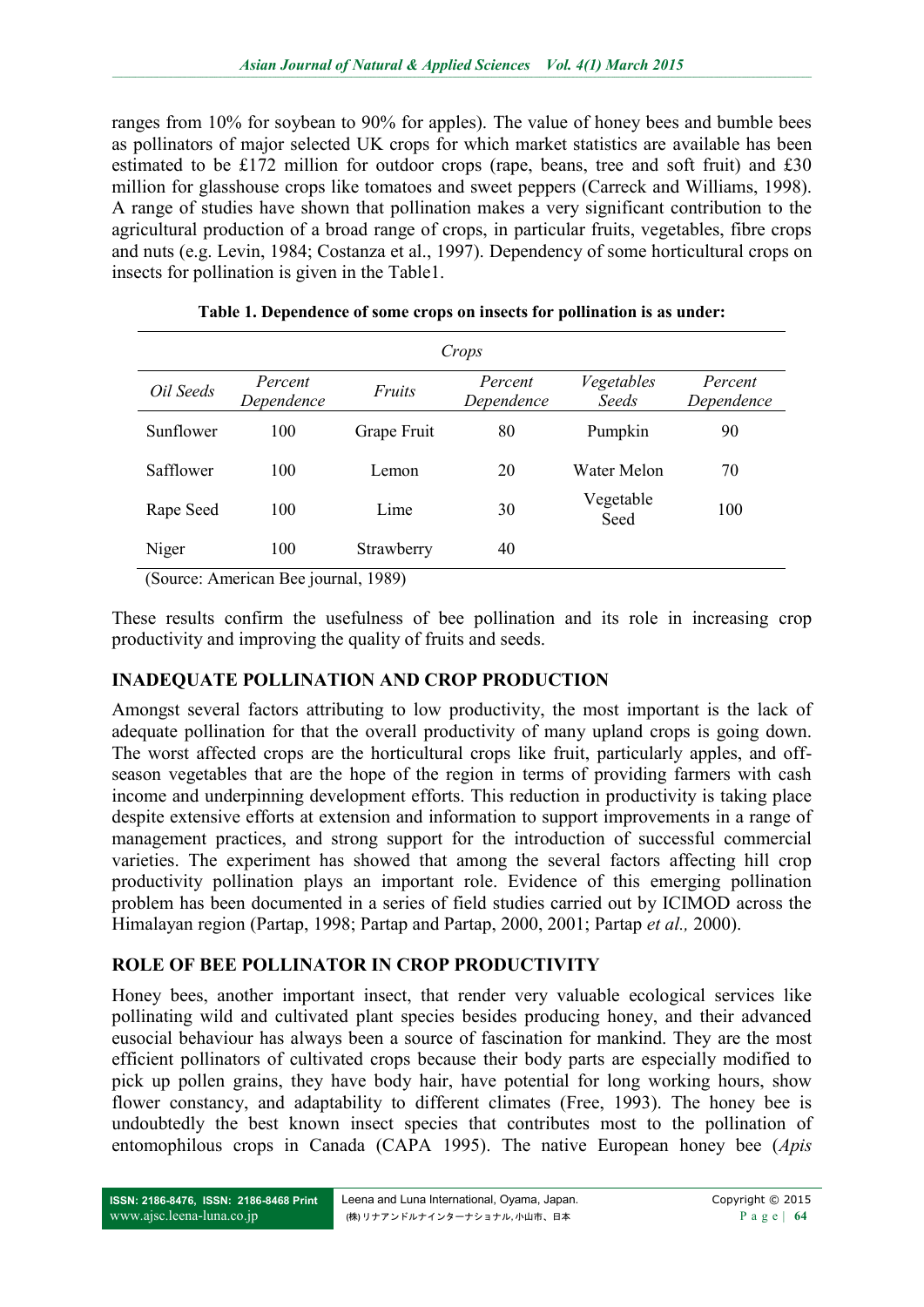ranges from 10% for soybean to 90% for apples). The value of honey bees and bumble bees as pollinators of major selected UK crops for which market statistics are available has been estimated to be £172 million for outdoor crops (rape, beans, tree and soft fruit) and £30 million for glasshouse crops like tomatoes and sweet peppers (Carreck and Williams, 1998). A range of studies have shown that pollination makes a very significant contribution to the agricultural production of a broad range of crops, in particular fruits, vegetables, fibre crops and nuts (e.g. Levin, 1984; Costanza et al., 1997). Dependency of some horticultural crops on insects for pollination is given in the Table1.

| Crops                                   |                       |             |                       |                     |                       |  |  |
|-----------------------------------------|-----------------------|-------------|-----------------------|---------------------|-----------------------|--|--|
| Oil Seeds                               | Percent<br>Dependence | Fruits      | Percent<br>Dependence | Vegetables<br>Seeds | Percent<br>Dependence |  |  |
| Sunflower                               | 100                   | Grape Fruit | 80                    | Pumpkin             | 90                    |  |  |
| Safflower                               | 100                   | Lemon       | 20                    | Water Melon         | 70                    |  |  |
| Rape Seed                               | 100                   | Lime        | 30                    | Vegetable<br>Seed   | 100                   |  |  |
| Niger<br><b>State Contract Contract</b> | 100<br>___            | Strawberry  | 40                    |                     |                       |  |  |

**Table 1. Dependence of some crops on insects for pollination is as under:**

(Source: American Bee journal, 1989)

These results confirm the usefulness of bee pollination and its role in increasing crop productivity and improving the quality of fruits and seeds.

## **INADEQUATE POLLINATION AND CROP PRODUCTION**

Amongst several factors attributing to low productivity, the most important is the lack of adequate pollination for that the overall productivity of many upland crops is going down. The worst affected crops are the horticultural crops like fruit, particularly apples, and offseason vegetables that are the hope of the region in terms of providing farmers with cash income and underpinning development efforts. This reduction in productivity is taking place despite extensive efforts at extension and information to support improvements in a range of management practices, and strong support for the introduction of successful commercial varieties. The experiment has showed that among the several factors affecting hill crop productivity pollination plays an important role. Evidence of this emerging pollination problem has been documented in a series of field studies carried out by ICIMOD across the Himalayan region (Partap, 1998; Partap and Partap, 2000, 2001; Partap *et al.,* 2000).

## **ROLE OF BEE POLLINATOR IN CROP PRODUCTIVITY**

Honey bees, another important insect, that render very valuable ecological services like pollinating wild and cultivated plant species besides producing honey, and their advanced eusocial behaviour has always been a source of fascination for mankind. They are the most efficient pollinators of cultivated crops because their body parts are especially modified to pick up pollen grains, they have body hair, have potential for long working hours, show flower constancy, and adaptability to different climates (Free, 1993). The honey bee is undoubtedly the best known insect species that contributes most to the pollination of entomophilous crops in Canada (CAPA 1995). The native European honey bee (*Apis*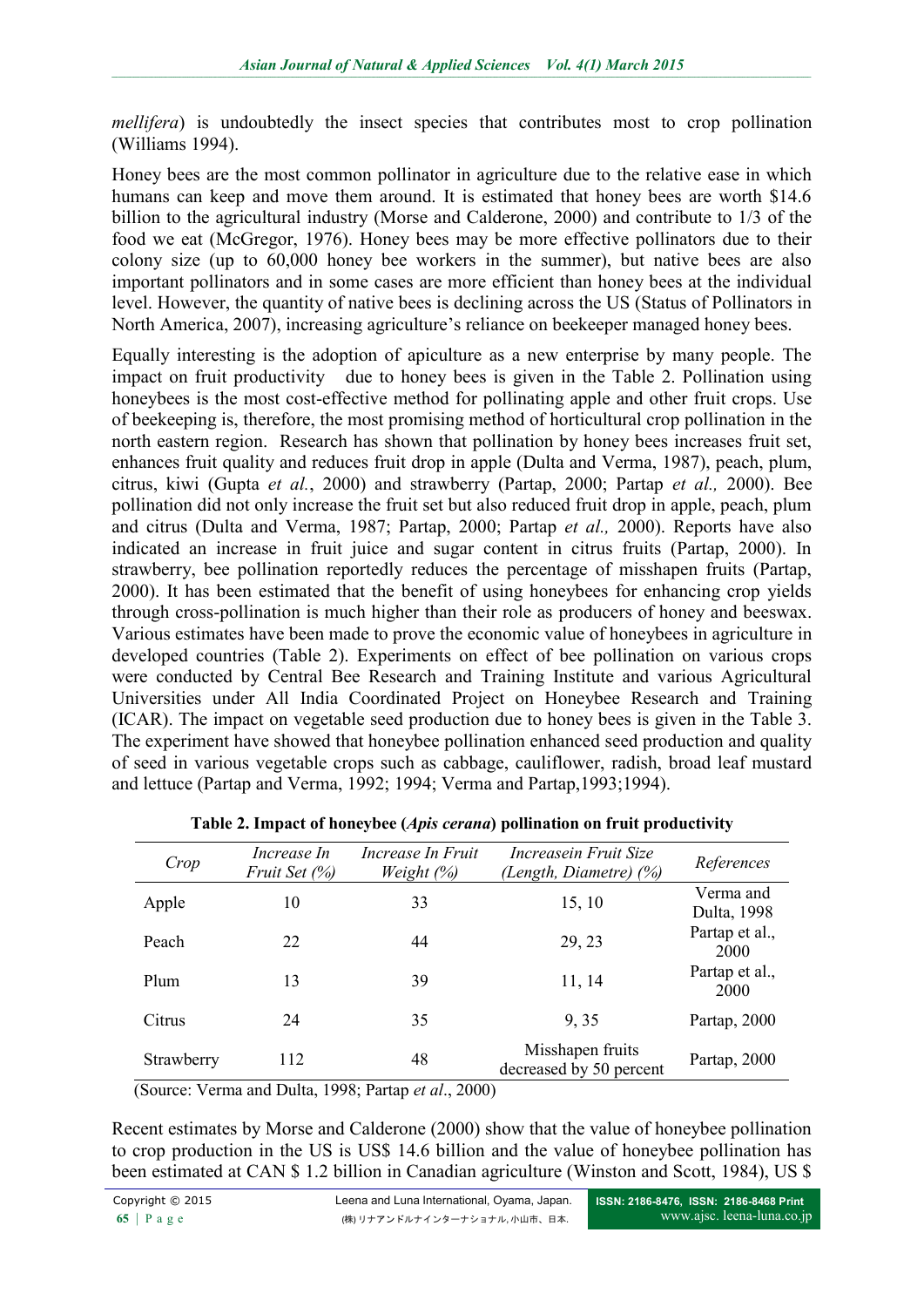*mellifera*) is undoubtedly the insect species that contributes most to crop pollination (Williams 1994).

Honey bees are the most common pollinator in agriculture due to the relative ease in which humans can keep and move them around. It is estimated that honey bees are worth \$14.6 billion to the agricultural industry (Morse and Calderone, 2000) and contribute to 1/3 of the food we eat (McGregor, 1976). Honey bees may be more effective pollinators due to their colony size (up to 60,000 honey bee workers in the summer), but native bees are also important pollinators and in some cases are more efficient than honey bees at the individual level. However, the quantity of native bees is declining across the US (Status of Pollinators in North America, 2007), increasing agriculture's reliance on beekeeper managed honey bees.

Equally interesting is the adoption of apiculture as a new enterprise by many people. The impact on fruit productivity due to honey bees is given in the Table 2. Pollination using honeybees is the most cost-effective method for pollinating apple and other fruit crops. Use of beekeeping is, therefore, the most promising method of horticultural crop pollination in the north eastern region. Research has shown that pollination by honey bees increases fruit set, enhances fruit quality and reduces fruit drop in apple (Dulta and Verma, 1987), peach, plum, citrus, kiwi (Gupta *et al.*, 2000) and strawberry (Partap, 2000; Partap *et al.,* 2000). Bee pollination did not only increase the fruit set but also reduced fruit drop in apple, peach, plum and citrus (Dulta and Verma, 1987; Partap, 2000; Partap *et al.,* 2000). Reports have also indicated an increase in fruit juice and sugar content in citrus fruits (Partap, 2000). In strawberry, bee pollination reportedly reduces the percentage of misshapen fruits (Partap, 2000). It has been estimated that the benefit of using honeybees for enhancing crop yields through cross-pollination is much higher than their role as producers of honey and beeswax. Various estimates have been made to prove the economic value of honeybees in agriculture in developed countries (Table 2). Experiments on effect of bee pollination on various crops were conducted by Central Bee Research and Training Institute and various Agricultural Universities under All India Coordinated Project on Honeybee Research and Training (ICAR). The impact on vegetable seed production due to honey bees is given in the Table 3. The experiment have showed that honeybee pollination enhanced seed production and quality of seed in various vegetable crops such as cabbage, cauliflower, radish, broad leaf mustard and lettuce (Partap and Verma, 1992; 1994; Verma and Partap,1993;1994).

| Crop       | <i>Increase In</i><br>Fruit Set (%) | Increase In Fruit<br><i>Weight</i> $(\%)$ | Increasein Fruit Size<br>(Length, Diametre) (%) | References               |
|------------|-------------------------------------|-------------------------------------------|-------------------------------------------------|--------------------------|
| Apple      | 10                                  | 33                                        | 15, 10                                          | Verma and<br>Dulta, 1998 |
| Peach      | 22                                  | 44                                        | 29, 23                                          | Partap et al.,<br>2000   |
| Plum       | 13                                  | 39                                        | 11, 14                                          | Partap et al.,<br>2000   |
| Citrus     | 24                                  | 35                                        | 9,35                                            | Partap, 2000             |
| Strawberry | 112                                 | 48                                        | Misshapen fruits<br>decreased by 50 percent     | Partap, 2000             |

| Table 2. Impact of honeybee (Apis cerana) pollination on fruit productivity |  |  |
|-----------------------------------------------------------------------------|--|--|
|-----------------------------------------------------------------------------|--|--|

(Source: Verma and Dulta, 1998; Partap *et al*., 2000)

Recent estimates by Morse and Calderone (2000) show that the value of honeybee pollination to crop production in the US is US\$ 14.6 billion and the value of honeybee pollination has been estimated at CAN \$ 1.2 billion in Canadian agriculture (Winston and Scott, 1984), US \$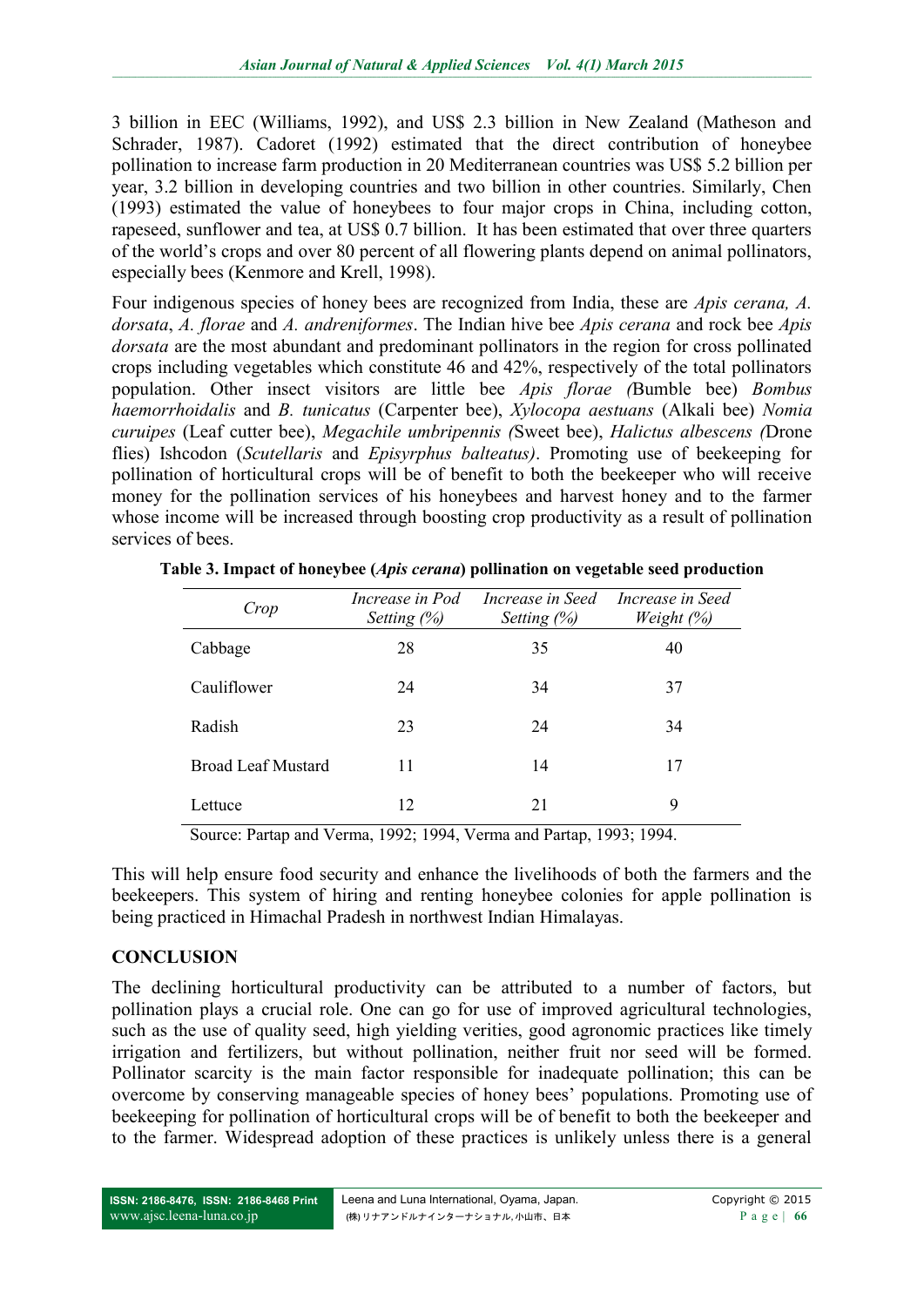3 billion in EEC (Williams, 1992), and US\$ 2.3 billion in New Zealand (Matheson and Schrader, 1987). Cadoret (1992) estimated that the direct contribution of honeybee pollination to increase farm production in 20 Mediterranean countries was US\$ 5.2 billion per year, 3.2 billion in developing countries and two billion in other countries. Similarly, Chen (1993) estimated the value of honeybees to four major crops in China, including cotton, rapeseed, sunflower and tea, at US\$ 0.7 billion. It has been estimated that over three quarters of the world's crops and over 80 percent of all flowering plants depend on animal pollinators, especially bees (Kenmore and Krell, 1998).

Four indigenous species of honey bees are recognized from India, these are *Apis cerana, A. dorsata*, *A. florae* and *A. andreniformes*. The Indian hive bee *Apis cerana* and rock bee *Apis dorsata* are the most abundant and predominant pollinators in the region for cross pollinated crops including vegetables which constitute 46 and 42%, respectively of the total pollinators population. Other insect visitors are little bee *Apis florae (*Bumble bee) *Bombus haemorrhoidalis* and *B. tunicatus* (Carpenter bee), *Xylocopa aestuans* (Alkali bee) *Nomia curuipes* (Leaf cutter bee), *Megachile umbripennis (*Sweet bee), *Halictus albescens (*Drone flies) Ishcodon (*Scutellaris* and *Episyrphus balteatus)*. Promoting use of beekeeping for pollination of horticultural crops will be of benefit to both the beekeeper who will receive money for the pollination services of his honeybees and harvest honey and to the farmer whose income will be increased through boosting crop productivity as a result of pollination services of bees.

| Crop                      | Increase in Pod<br>Setting $(\%)$ | Increase in Seed<br>Setting $(\%)$ | Increase in Seed<br>Weight $(\%)$ |
|---------------------------|-----------------------------------|------------------------------------|-----------------------------------|
| Cabbage                   | 28                                | 35                                 | 40                                |
| Cauliflower               | 24                                | 34                                 | 37                                |
| Radish                    | 23                                | 24                                 | 34                                |
| <b>Broad Leaf Mustard</b> | 11                                | 14                                 | 17                                |
| Lettuce                   | 12                                | 21                                 | 9                                 |

**Table 3. Impact of honeybee (***Apis cerana***) pollination on vegetable seed production**

Source: Partap and Verma, 1992; 1994, Verma and Partap, 1993; 1994.

This will help ensure food security and enhance the livelihoods of both the farmers and the beekeepers. This system of hiring and renting honeybee colonies for apple pollination is being practiced in Himachal Pradesh in northwest Indian Himalayas.

#### **CONCLUSION**

The declining horticultural productivity can be attributed to a number of factors, but pollination plays a crucial role. One can go for use of improved agricultural technologies, such as the use of quality seed, high yielding verities, good agronomic practices like timely irrigation and fertilizers, but without pollination, neither fruit nor seed will be formed. Pollinator scarcity is the main factor responsible for inadequate pollination; this can be overcome by conserving manageable species of honey bees' populations. Promoting use of beekeeping for pollination of horticultural crops will be of benefit to both the beekeeper and to the farmer. Widespread adoption of these practices is unlikely unless there is a general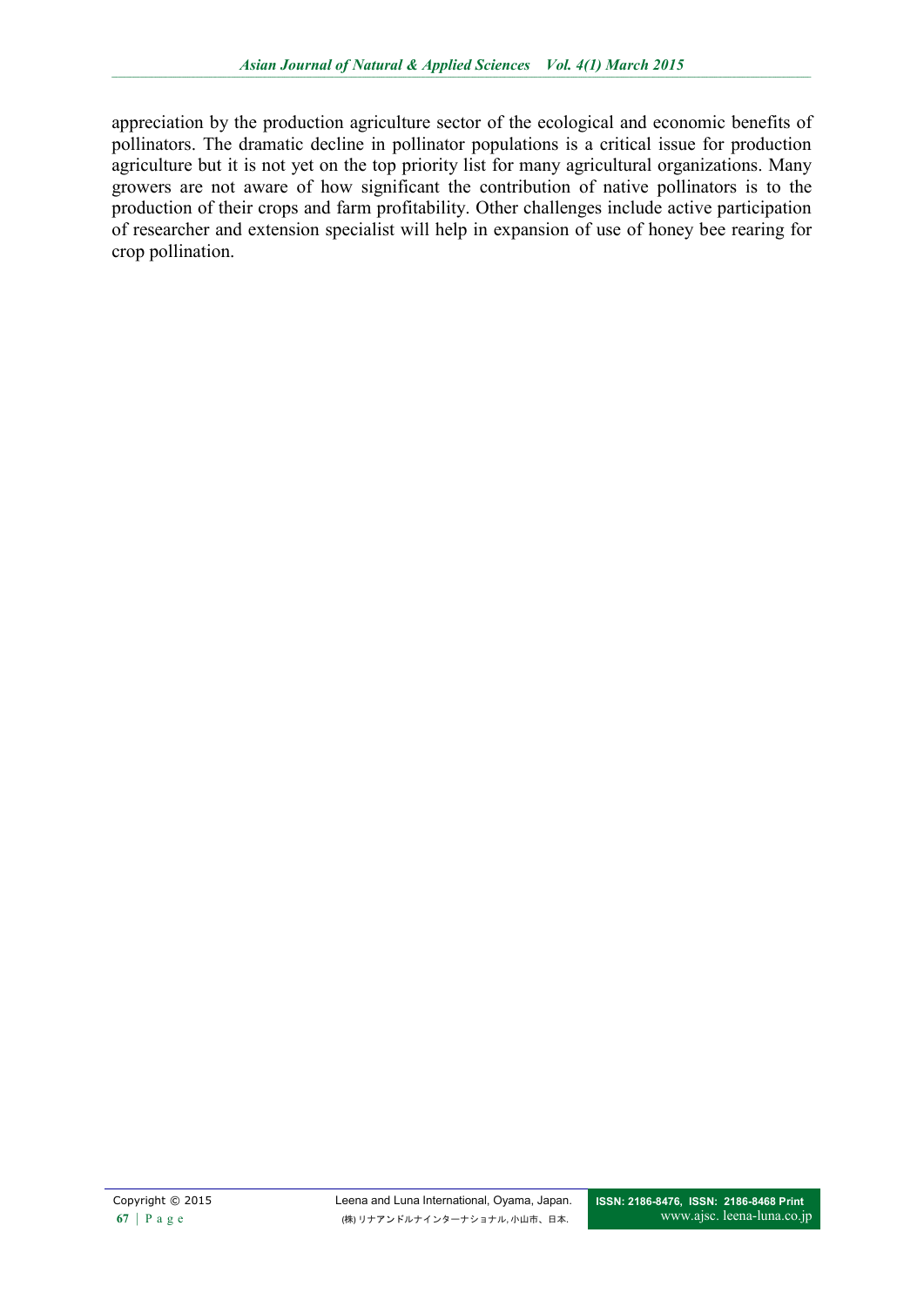appreciation by the production agriculture sector of the ecological and economic benefits of pollinators. The dramatic decline in pollinator populations is a critical issue for production agriculture but it is not yet on the top priority list for many agricultural organizations. Many growers are not aware of how significant the contribution of native pollinators is to the production of their crops and farm profitability. Other challenges include active participation of researcher and extension specialist will help in expansion of use of honey bee rearing for crop pollination.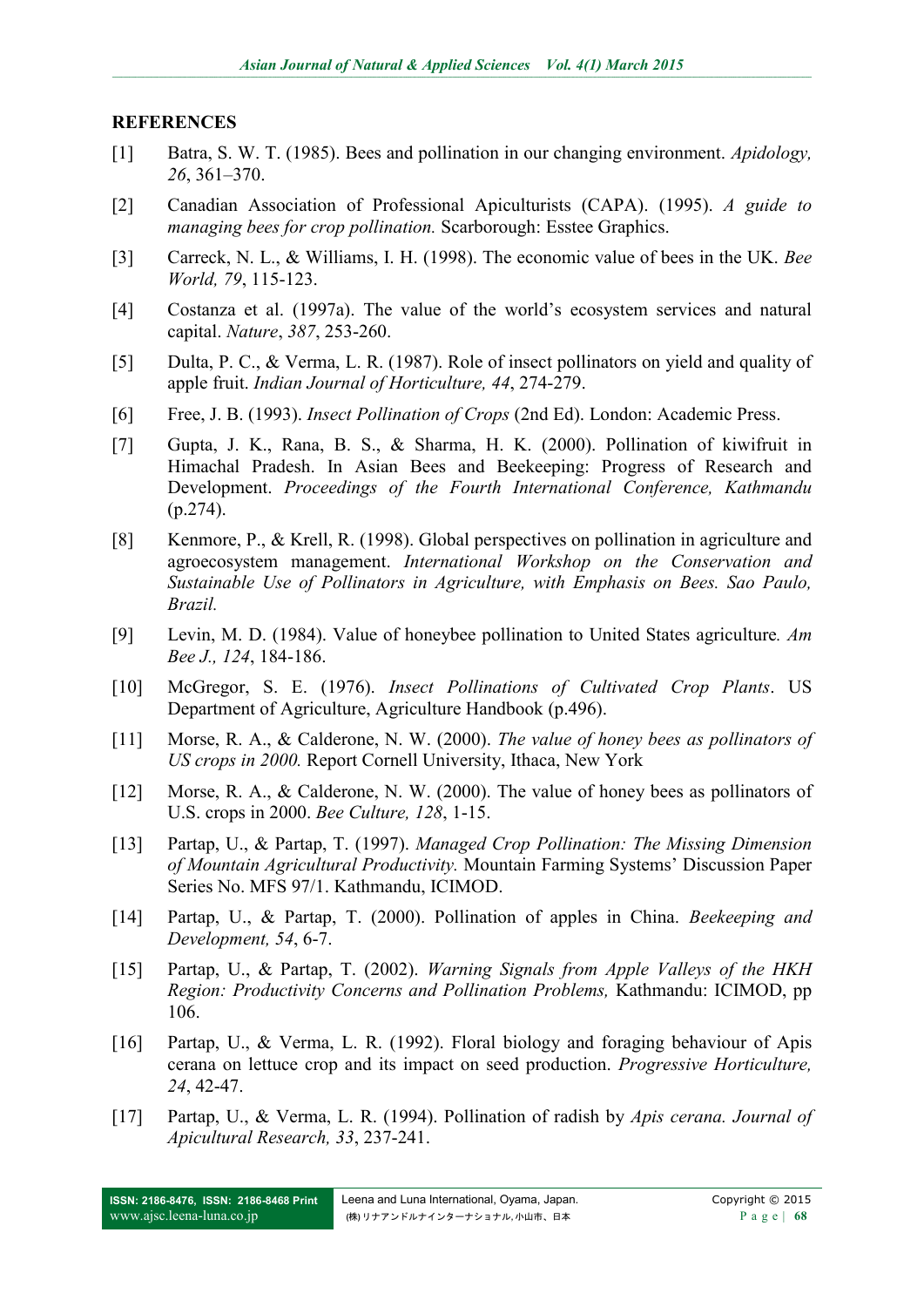#### **REFERENCES**

- [1] Batra, S. W. T. (1985). Bees and pollination in our changing environment. *Apidology, 26*, 361–370.
- [2] Canadian Association of Professional Apiculturists (CAPA). (1995). *A guide to managing bees for crop pollination.* Scarborough: Esstee Graphics.
- [3] Carreck, N. L., & Williams, I. H. (1998). The economic value of bees in the UK. *Bee World, 79*, 115-123.
- [4] Costanza et al. (1997a). The value of the world's ecosystem services and natural capital. *Nature*, *387*, 253-260.
- [5] Dulta, P. C., & Verma, L. R. (1987). Role of insect pollinators on yield and quality of apple fruit. *Indian Journal of Horticulture, 44*, 274-279.
- [6] Free, J. B. (1993). *Insect Pollination of Crops* (2nd Ed). London: Academic Press.
- [7] Gupta, J. K., Rana, B. S., & Sharma, H. K. (2000). Pollination of kiwifruit in Himachal Pradesh. In Asian Bees and Beekeeping: Progress of Research and Development. *Proceedings of the Fourth International Conference, Kathmandu* (p.274).
- [8] Kenmore, P., & Krell, R. (1998). Global perspectives on pollination in agriculture and agroecosystem management. *International Workshop on the Conservation and Sustainable Use of Pollinators in Agriculture, with Emphasis on Bees. Sao Paulo, Brazil.*
- [9] Levin, M. D. (1984). Value of honeybee pollination to United States agriculture*. Am Bee J., 124*, 184-186.
- [10] McGregor, S. E. (1976). *Insect Pollinations of Cultivated Crop Plants*. US Department of Agriculture, Agriculture Handbook (p.496).
- [11] Morse, R. A., & Calderone, N. W. (2000). *The value of honey bees as pollinators of US crops in 2000.* Report Cornell University, Ithaca, New York
- [12] Morse, R. A., & Calderone, N. W. (2000). The value of honey bees as pollinators of U.S. crops in 2000. *Bee Culture, 128*, 1-15.
- [13] Partap, U., & Partap, T. (1997). *Managed Crop Pollination: The Missing Dimension of Mountain Agricultural Productivity.* Mountain Farming Systems' Discussion Paper Series No. MFS 97/1. Kathmandu, ICIMOD.
- [14] Partap, U., & Partap, T. (2000). Pollination of apples in China. *Beekeeping and Development, 54*, 6-7.
- [15] Partap, U., & Partap, T. (2002). *Warning Signals from Apple Valleys of the HKH Region: Productivity Concerns and Pollination Problems,* Kathmandu: ICIMOD, pp 106.
- [16] Partap, U., & Verma, L. R. (1992). Floral biology and foraging behaviour of Apis cerana on lettuce crop and its impact on seed production. *Progressive Horticulture, 24*, 42-47.
- [17] Partap, U., & Verma, L. R. (1994). Pollination of radish by *Apis cerana. Journal of Apicultural Research, 33*, 237-241.